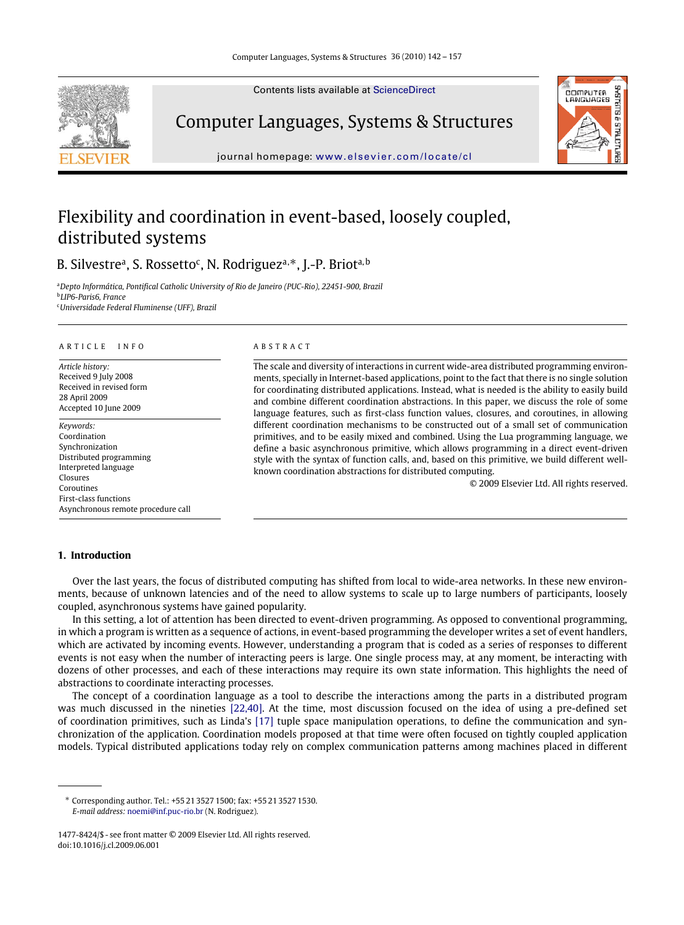Contents lists available at [ScienceDirect](http://www.sciencedirect.com/science/journal/cl)



Computer Languages, Systems & Structures



journal homepage: [www.elsevier.com/locate/cl](http://www.elsevier.com/locate/cl)

# Flexibility and coordination in event-based, loosely coupled, distributed systems

B. Silvestreª, S. Rossetto<sup>c</sup>, N. Rodriguezª,\*, J.-P. Briot<sup>a,b</sup>

<sup>a</sup>*Depto Informática, Pontifical Catholic University of Rio de Janeiro (PUC-Rio), 22451-900, Brazil* <sup>b</sup>*LIP6-Paris6, France* <sup>c</sup>*Universidade Federal Fluminense (UFF), Brazil*

#### ARTICLE INFO ABSTRACT

*Article history:* Received 9 July 2008 Received in revised form 28 April 2009 Accepted 10 June 2009

*Keywords:* Coordination Synchronization Distributed programming Interpreted language Closures Coroutines First-class functions Asynchronous remote procedure call

The scale and diversity of interactions in current wide-area distributed programming environments, specially in Internet-based applications, point to the fact that there is no single solution for coordinating distributed applications. Instead, what is needed is the ability to easily build and combine different coordination abstractions. In this paper, we discuss the role of some language features, such as first-class function values, closures, and coroutines, in allowing different coordination mechanisms to be constructed out of a small set of communication primitives, and to be easily mixed and combined. Using the Lua programming language, we define a basic asynchronous primitive, which allows programming in a direct event-driven style with the syntax of function calls, and, based on this primitive, we build different wellknown coordination abstractions for distributed computing.

© 2009 Elsevier Ltd. All rights reserved.

# **1. Introduction**

Over the last years, the focus of distributed computing has shifted from local to wide-area networks. In these new environments, because of unknown latencies and of the need to allow systems to scale up to large numbers of participants, loosely coupled, asynchronous systems have gained popularity.

In this setting, a lot of attention has been directed to event-driven programming. As opposed to conventional programming, in which a program is written as a sequence of actions, in event-based programming the developer writes a set of event handlers, which are activated by incoming events. However, understanding a program that is coded as a series of responses to different events is not easy when the number of interacting peers is large. One single process may, at any moment, be interacting with dozens of other processes, and each of these interactions may require its own state information. This highlights the need of abstractions to coordinate interacting processes.

The concept of a coordination language as a tool to describe the interactions among the parts in a distributed program was much discussed in the nineties [22,40]. At the time, most discussion focused on the idea of using a pre-defined set of coordination primitives, such as Linda's [\[17\]](#page-15-0) tuple space manipulation operations, to define the communication and synchronization of the application. Coordination models proposed at that time were often focused on tightly coupled application models. Typical distributed applications today rely on complex communication patterns among machines placed in different

<sup>∗</sup> Corresponding author. Tel.: +55 21 3527 1500; fax: +55 21 3527 1530. *E-mail address:* [noemi@inf.puc-rio.br](mailto:noemi@inf.puc-rio.br) (N. Rodriguez).

<sup>1477-8424/\$ -</sup> see front matter © 2009 Elsevier Ltd. All rights reserved. doi:10.1016/j.cl.2009.06.001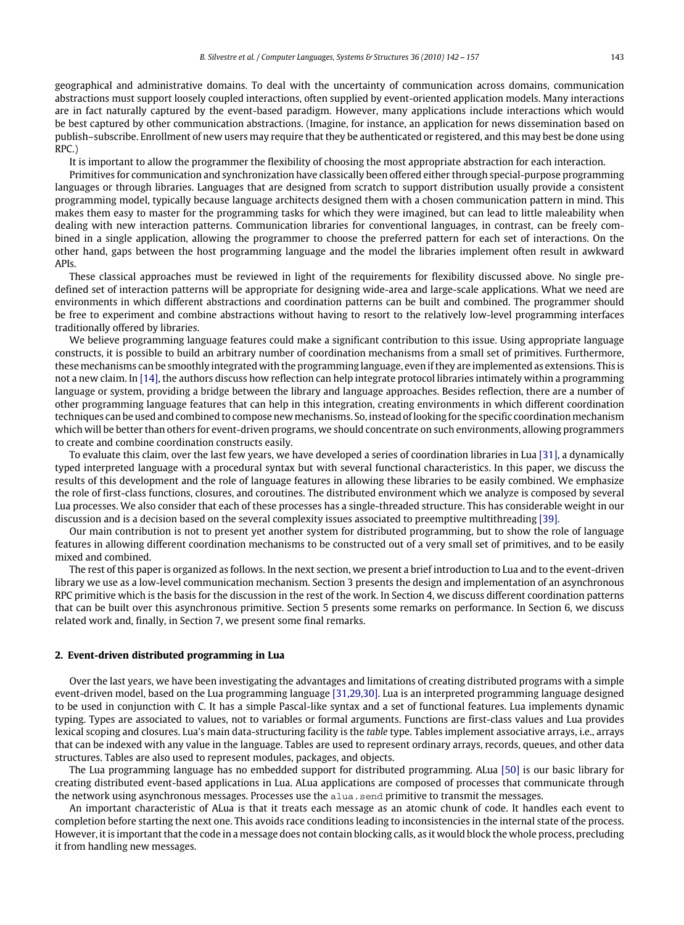geographical and administrative domains. To deal with the uncertainty of communication across domains, communication abstractions must support loosely coupled interactions, often supplied by event-oriented application models. Many interactions are in fact naturally captured by the event-based paradigm. However, many applications include interactions which would be best captured by other communication abstractions. (Imagine, for instance, an application for news dissemination based on publish–subscribe. Enrollment of new users may require that they be authenticated or registered, and this may best be done using RPC.)

It is important to allow the programmer the flexibility of choosing the most appropriate abstraction for each interaction.

Primitives for communication and synchronization have classically been offered either through special-purpose programming languages or through libraries. Languages that are designed from scratch to support distribution usually provide a consistent programming model, typically because language architects designed them with a chosen communication pattern in mind. This makes them easy to master for the programming tasks for which they were imagined, but can lead to little maleability when dealing with new interaction patterns. Communication libraries for conventional languages, in contrast, can be freely combined in a single application, allowing the programmer to choose the preferred pattern for each set of interactions. On the other hand, gaps between the host programming language and the model the libraries implement often result in awkward APIs.

These classical approaches must be reviewed in light of the requirements for flexibility discussed above. No single predefined set of interaction patterns will be appropriate for designing wide-area and large-scale applications. What we need are environments in which different abstractions and coordination patterns can be built and combined. The programmer should be free to experiment and combine abstractions without having to resort to the relatively low-level programming interfaces traditionally offered by libraries.

We believe programming language features could make a significant contribution to this issue. Using appropriate language constructs, it is possible to build an arbitrary number of coordination mechanisms from a small set of primitives. Furthermore, these mechanisms can be smoothly integrated with the programming language, even if they are implemented as extensions. This is not a new claim. In [\[14\],](#page-15-1) the authors discuss how reflection can help integrate protocol libraries intimately within a programming language or system, providing a bridge between the library and language approaches. Besides reflection, there are a number of other programming language features that can help in this integration, creating environments in which different coordination techniques can be used and combined to compose new mechanisms. So, instead of looking for the specific coordination mechanism which will be better than others for event-driven programs, we should concentrate on such environments, allowing programmers to create and combine coordination constructs easily.

To evaluate this claim, over the last few years, we have developed a series of coordination libraries in Lua [\[31\],](#page-15-2) a dynamically typed interpreted language with a procedural syntax but with several functional characteristics. In this paper, we discuss the results of this development and the role of language features in allowing these libraries to be easily combined. We emphasize the role of first-class functions, closures, and coroutines. The distributed environment which we analyze is composed by several Lua processes. We also consider that each of these processes has a single-threaded structure. This has considerable weight in our discussion and is a decision based on the several complexity issues associated to preemptive multithreading [\[39\].](#page-15-3)

Our main contribution is not to present yet another system for distributed programming, but to show the role of language features in allowing different coordination mechanisms to be constructed out of a very small set of primitives, and to be easily mixed and combined.

The rest of this paper is organized as follows. In the next section, we present a brief introduction to Lua and to the event-driven library we use as a low-level communication mechanism. Section 3 presents the design and implementation of an asynchronous RPC primitive which is the basis for the discussion in the rest of the work. In Section 4, we discuss different coordination patterns that can be built over this asynchronous primitive. Section 5 presents some remarks on performance. In Section 6, we discuss related work and, finally, in Section 7, we present some final remarks.

## **2. Event-driven distributed programming in Lua**

Over the last years, we have been investigating the advantages and limitations of creating distributed programs with a simple event-driven model, based on the Lua programming language [31,29,30]. Lua is an interpreted programming language designed to be used in conjunction with C. It has a simple Pascal-like syntax and a set of functional features. Lua implements dynamic typing. Types are associated to values, not to variables or formal arguments. Functions are first-class values and Lua provides lexical scoping and closures. Lua's main data-structuring facility is the *table* type. Tables implement associative arrays, i.e., arrays that can be indexed with any value in the language. Tables are used to represent ordinary arrays, records, queues, and other data structures. Tables are also used to represent modules, packages, and objects.

The Lua programming language has no embedded support for distributed programming. ALua [\[50\]](#page-15-4) is our basic library for creating distributed event-based applications in Lua. ALua applications are composed of processes that communicate through the network using asynchronous messages. Processes use the alua. send primitive to transmit the messages.

An important characteristic of ALua is that it treats each message as an atomic chunk of code. It handles each event to completion before starting the next one. This avoids race conditions leading to inconsistencies in the internal state of the process. However, it is important that the code in a message does not contain blocking calls, as it would block the whole process, precluding it from handling new messages.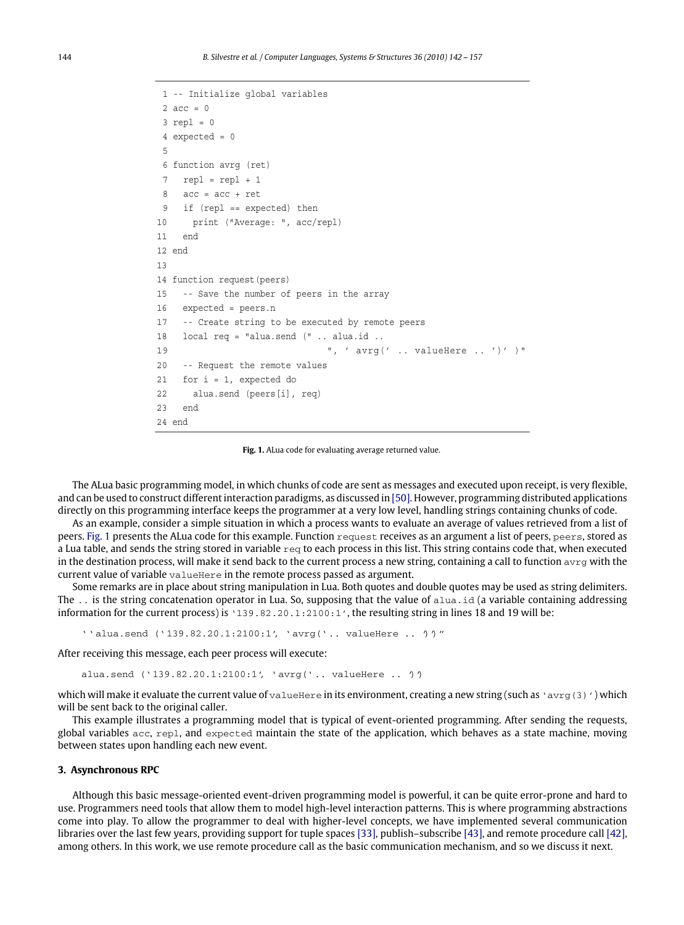```
1 -- Initialize global variables
 2 acc = 03 repl = 0
 4 expected = 0
 5
 6 function avrg (ret)
 7 repl = repl + 1
 8 acc = acc + ret9 if (repl == expected) then
10 print ("Average: ", acc/repl)
11 end
12 end
13
14 function request(peers)
15 -- Save the number of peers in the array
16 expected = peers.n
17 -- Create string to be executed by remote peers
18 local req = "alua.send (" .. alua.id ..
91 ")')'..ereHeulav..'(grva',"
20 -- Request the remote values
21 for i = 1, expected do
22 alua.send (peers[i], req)
23 end
24 end
```
<span id="page-2-0"></span>**Fig. 1.** ALua code for evaluating average returned value.

The ALua basic programming model, in which chunks of code are sent as messages and executed upon receipt, is very flexible, and can be used to construct different interaction paradigms, as discussed in [\[50\].](#page-15-4) However, programming distributed applications directly on this programming interface keeps the programmer at a very low level, handling strings containing chunks of code.

As an example, consider a simple situation in which a process wants to evaluate an average of values retrieved from a list of peers. [Fig. 1](#page-2-0) presents the ALua code for this example. Function request receives as an argument a list of peers, peers, stored as a Lua table, and sends the string stored in variable  $\text{req}$  to each process in this list. This string contains code that, when executed in the destination process, will make it send back to the current process a new string, containing a call to function  $\arg$  with the current value of variable valueHere in the remote process passed as argument.

Some remarks are in place about string manipulation in Lua. Both quotes and double quotes may be used as string delimiters. The  $\ldots$  is the string concatenation operator in Lua. So, supposing that the value of  $\alpha$ lua. id (a variable containing addressing information for the current process) is '139.82.20.1:2100:1', the resulting string in lines 18 and 19 will be:

' 'alua.send ('139.82.20.1:2100:1', 'avrg('.. valueHere .. ')'"

After receiving this message, each peer process will execute:

alua.send ('139.82.20.1:2100:1', 'avrg('.. valueHere .. ')')

which will make it evaluate the current value of valueHere in its environment, creating a new string (such as 'avrg(3)') which will be sent back to the original caller.

This example illustrates a programming model that is typical of event-oriented programming. After sending the requests, global variables acc, repl, and expected maintain the state of the application, which behaves as a state machine, moving between states upon handling each new event.

#### **3. Asynchronous RPC**

Although this basic message-oriented event-driven programming model is powerful, it can be quite error-prone and hard to use. Programmers need tools that allow them to model high-level interaction patterns. This is where programming abstractions come into play. To allow the programmer to deal with higher-level concepts, we have implemented several communication libraries over the last few years, providing support for tuple spaces [\[33\],](#page-15-5) publish–subscribe [\[43\],](#page-15-6) and remote procedure call [\[42\],](#page-15-7) among others. In this work, we use remote procedure call as the basic communication mechanism, and so we discuss it next.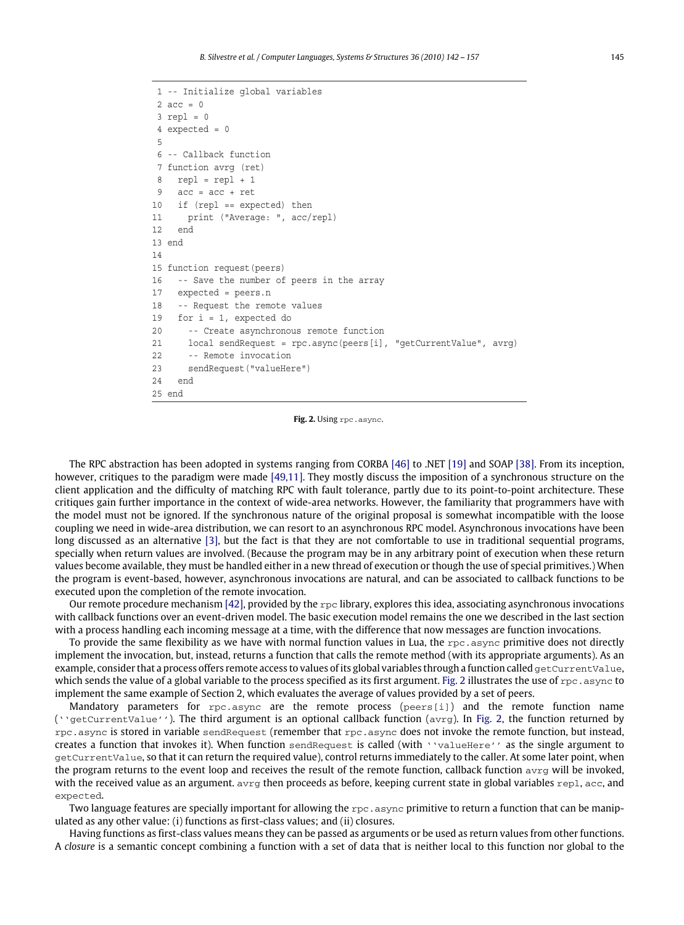```
1 -- Initialize global variables
 2 acc = 03 repl = 04 expected = 0
 5
 6 -- Callback function
 7 function avrg (ret)
 8 repl = repl + 1
 9 \text{ acc} = \text{acc} + \text{ret}10 if (repl == expected) then
11 print ("Average: ", acc/repl)
12 end
13 end
14
15 function request(peers)
16 -- Save the number of peers in the array
17 expected = peers.n
18 -- Request the remote values
19 for i = 1, expected do
20 -- Create asynchronous remote function
21 local sendRequest = rpc.async(peers[i], "getCurrentValue", avrg)
22 -- Remote invocation
23 sendRequest("valueHere")
24 end
25 end
```
#### <span id="page-3-0"></span>**Fig. 2.** Using rpc.async.

The RPC abstraction has been adopted in systems ranging from CORBA [\[46\]](#page-15-8) to .NET [\[19\]](#page-15-9) and SOAP [\[38\].](#page-15-10) From its inception, however, critiques to the paradigm were made [49,11]. They mostly discuss the imposition of a synchronous structure on the client application and the difficulty of matching RPC with fault tolerance, partly due to its point-to-point architecture. These critiques gain further importance in the context of wide-area networks. However, the familiarity that programmers have with the model must not be ignored. If the synchronous nature of the original proposal is somewhat incompatible with the loose coupling we need in wide-area distribution, we can resort to an asynchronous RPC model. Asynchronous invocations have been long discussed as an alternative [\[3\],](#page-14-0) but the fact is that they are not comfortable to use in traditional sequential programs, specially when return values are involved. (Because the program may be in any arbitrary point of execution when these return values become available, they must be handled either in a new thread of execution or though the use of special primitives.) When the program is event-based, however, asynchronous invocations are natural, and can be associated to callback functions to be executed upon the completion of the remote invocation.

Our remote procedure mechanism [\[42\],](#page-15-7) provided by the  $rpc$  library, explores this idea, associating asynchronous invocations with callback functions over an event-driven model. The basic execution model remains the one we described in the last section with a process handling each incoming message at a time, with the difference that now messages are function invocations.

To provide the same flexibility as we have with normal function values in Lua, the  $rpc$  async primitive does not directly implement the invocation, but, instead, returns a function that calls the remote method (with its appropriate arguments). As an example, consider that a process offers remote access to values of its global variables through a function called getCurrentValue, which sends the value of a global variable to the process specified as its first argument. [Fig. 2](#page-3-0) illustrates the use of  $rpc$  async to implement the same example of Section 2, which evaluates the average of values provided by a set of peers.

Mandatory parameters for rpc.async are the remote process (peers[i]) and the remote function name (''getCurrentValue''). The third argument is an optional callback function (avrg). In [Fig. 2,](#page-3-0) the function returned by rpc.async is stored in variable sendRequest (remember that rpc.async does not invoke the remote function, but instead, creates a function that invokes it). When function sendRequest is called (with 'valueHere'' as the single argument to getCurrentValue, so that it can return the required value), control returns immediately to the caller. At some later point, when the program returns to the event loop and receives the result of the remote function, callback function  $\alpha v_T g$  will be invoked, with the received value as an argument,  $\frac{\text{avg}}{\text{temp}}$  then proceeds as before, keeping current state in global variables repl, acc, and expected.

Two language features are specially important for allowing the  $rpc$  async primitive to return a function that can be manipulated as any other value: (i) functions as first-class values; and (ii) closures.

Having functions as first-class values means they can be passed as arguments or be used as return values from other functions. A *closure* is a semantic concept combining a function with a set of data that is neither local to this function nor global to the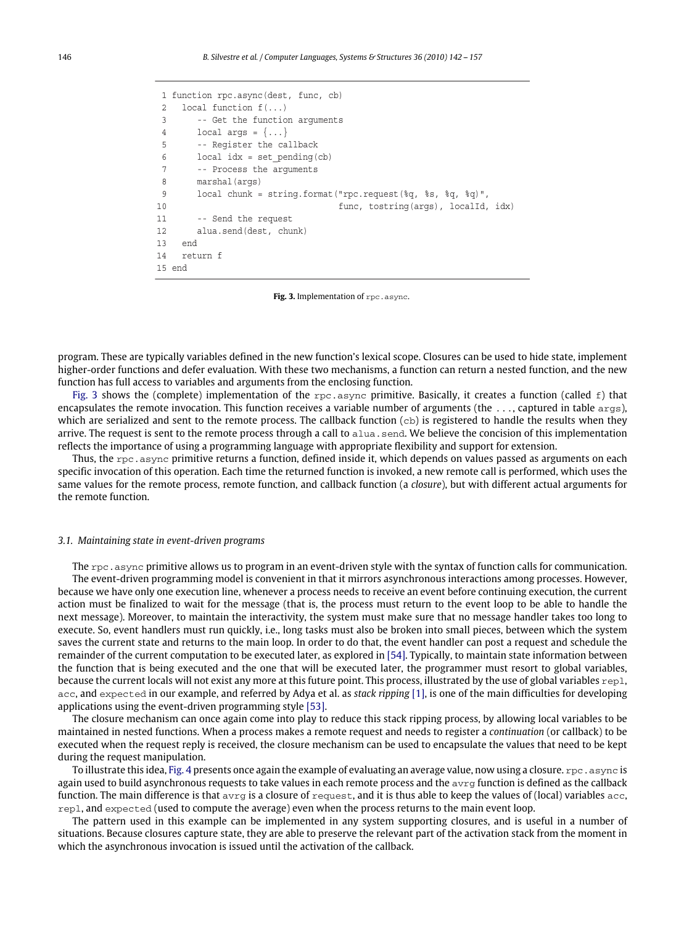```
1 function rpc.async(dest, func, cb)
2 local function f(...)
3 -- Get the function arguments
4 \{l \in \mathbb{C} \mid l \in \mathbb{N}\}5 -- Register the callback
6 \log x = \text{set pending}(\text{cb})7 -- Process the arguments
8 marshal(args)
9 local chunk = string.format("rpc.request(%q, %s, %q, %q)",
10 func, tostring(args), localId, idx)
11 -- Send the request
12 alua.send(dest, chunk)
13 end
14 return f
15 end
```
<span id="page-4-0"></span>**Fig. 3.** Implementation of rpc.async.

program. These are typically variables defined in the new function's lexical scope. Closures can be used to hide state, implement higher-order functions and defer evaluation. With these two mechanisms, a function can return a nested function, and the new function has full access to variables and arguments from the enclosing function.

[Fig. 3](#page-4-0) shows the (complete) implementation of the  $rpc$  async primitive. Basically, it creates a function (called  $f$ ) that encapsulates the remote invocation. This function receives a variable number of arguments (the ..., captured in table args), which are serialized and sent to the remote process. The callback function  $(c<sub>b</sub>)$  is registered to handle the results when they arrive. The request is sent to the remote process through a call to alua. send. We believe the concision of this implementation reflects the importance of using a programming language with appropriate flexibility and support for extension.

Thus, the  $rpc$  async primitive returns a function, defined inside it, which depends on values passed as arguments on each specific invocation of this operation. Each time the returned function is invoked, a new remote call is performed, which uses the same values for the remote process, remote function, and callback function (a *closure*), but with different actual arguments for the remote function.

#### *3.1. Maintaining state in event-driven programs*

The rpc.async primitive allows us to program in an event-driven style with the syntax of function calls for communication. The event-driven programming model is convenient in that it mirrors asynchronous interactions among processes. However, because we have only one execution line, whenever a process needs to receive an event before continuing execution, the current action must be finalized to wait for the message (that is, the process must return to the event loop to be able to handle the next message). Moreover, to maintain the interactivity, the system must make sure that no message handler takes too long to execute. So, event handlers must run quickly, i.e., long tasks must also be broken into small pieces, between which the system saves the current state and returns to the main loop. In order to do that, the event handler can post a request and schedule the remainder of the current computation to be executed later, as explored in [\[54\].](#page-15-11) Typically, to maintain state information between the function that is being executed and the one that will be executed later, the programmer must resort to global variables, because the current locals will not exist any more at this future point. This process, illustrated by the use of global variables  $r epl$ , acc, and expected in our example, and referred by Adya et al. as *stack ripping* [\[1\],](#page-14-1) is one of the main difficulties for developing applications using the event-driven programming style [\[53\].](#page-15-12)

The closure mechanism can once again come into play to reduce this stack ripping process, by allowing local variables to be maintained in nested functions. When a process makes a remote request and needs to register a *continuation* (or callback) to be executed when the request reply is received, the closure mechanism can be used to encapsulate the values that need to be kept during the request manipulation.

To illustrate this idea, [Fig. 4](#page-5-0) presents once again the example of evaluating an average value, now using a closure. rpc . async is again used to build asynchronous requests to take values in each remote process and the  $\alpha v_{\rm T}$  function is defined as the callback function. The main difference is that avrg is a closure of request, and it is thus able to keep the values of (local) variables acc, repl, and expected (used to compute the average) even when the process returns to the main event loop.

The pattern used in this example can be implemented in any system supporting closures, and is useful in a number of situations. Because closures capture state, they are able to preserve the relevant part of the activation stack from the moment in which the asynchronous invocation is issued until the activation of the callback.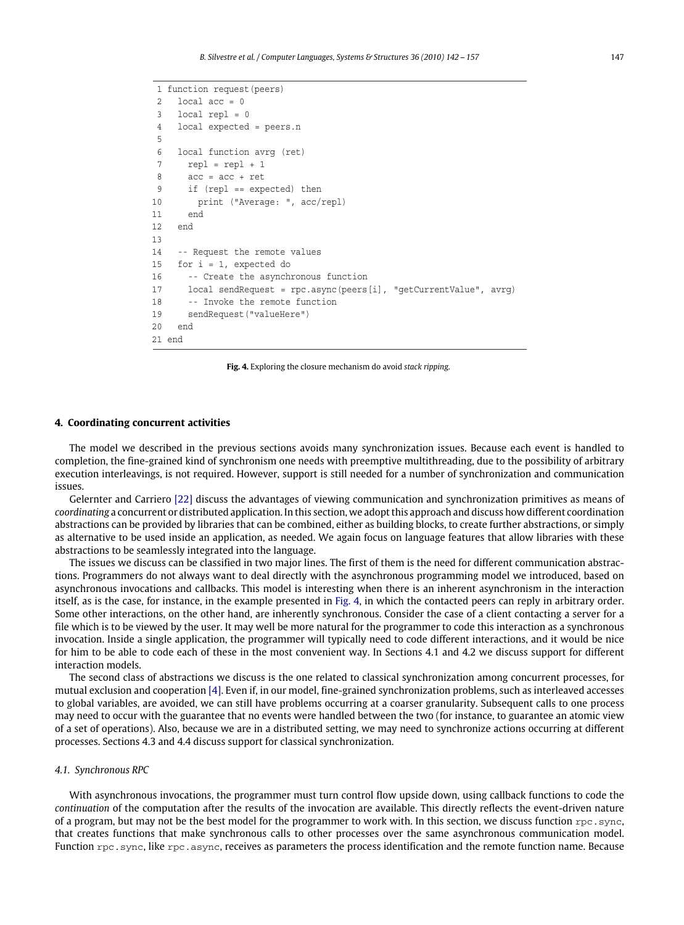```
1 function request(peers)
 2 local acc = 0
 3 local repl = 0
 4 local expected = peers.n
 5
 6 local function avrg (ret)
 7 repl = rep1 + 18 \text{ acc} = \text{acc} + \text{ret}9 if (repl == expected) then
10 print ("Average: ", acc/repl)
11 end
12 end
13
14 -- Request the remote values
15 for i = 1, expected do
16 -- Create the asynchronous function
17 local sendRequest = rpc.async(peers[i], "getCurrentValue", avrg)
18 -- Invoke the remote function
19 sendRequest("valueHere")
20 end
21 end
```
<span id="page-5-0"></span>**Fig. 4.** Exploring the closure mechanism do avoid *stack ripping*.

## **4. Coordinating concurrent activities**

The model we described in the previous sections avoids many synchronization issues. Because each event is handled to completion, the fine-grained kind of synchronism one needs with preemptive multithreading, due to the possibility of arbitrary execution interleavings, is not required. However, support is still needed for a number of synchronization and communication issues.

Gelernter and Carriero [\[22\]](#page-15-13) discuss the advantages of viewing communication and synchronization primitives as means of *coordinating* a concurrent or distributed application. In this section, we adopt this approach and discuss how different coordination abstractions can be provided by libraries that can be combined, either as building blocks, to create further abstractions, or simply as alternative to be used inside an application, as needed. We again focus on language features that allow libraries with these abstractions to be seamlessly integrated into the language.

The issues we discuss can be classified in two major lines. The first of them is the need for different communication abstractions. Programmers do not always want to deal directly with the asynchronous programming model we introduced, based on asynchronous invocations and callbacks. This model is interesting when there is an inherent asynchronism in the interaction itself, as is the case, for instance, in the example presented in [Fig. 4,](#page-5-0) in which the contacted peers can reply in arbitrary order. Some other interactions, on the other hand, are inherently synchronous. Consider the case of a client contacting a server for a file which is to be viewed by the user. It may well be more natural for the programmer to code this interaction as a synchronous invocation. Inside a single application, the programmer will typically need to code different interactions, and it would be nice for him to be able to code each of these in the most convenient way. In Sections 4.1 and 4.2 we discuss support for different interaction models.

The second class of abstractions we discuss is the one related to classical synchronization among concurrent processes, for mutual exclusion and cooperation [\[4\].](#page-14-2) Even if, in our model, fine-grained synchronization problems, such as interleaved accesses to global variables, are avoided, we can still have problems occurring at a coarser granularity. Subsequent calls to one process may need to occur with the guarantee that no events were handled between the two (for instance, to guarantee an atomic view of a set of operations). Also, because we are in a distributed setting, we may need to synchronize actions occurring at different processes. Sections 4.3 and 4.4 discuss support for classical synchronization.

#### *4.1. Synchronous RPC*

With asynchronous invocations, the programmer must turn control flow upside down, using callback functions to code the *continuation* of the computation after the results of the invocation are available. This directly reflects the event-driven nature of a program, but may not be the best model for the programmer to work with. In this section, we discuss function rpc.sync, that creates functions that make synchronous calls to other processes over the same asynchronous communication model. Function rpc. sync, like rpc.async, receives as parameters the process identification and the remote function name. Because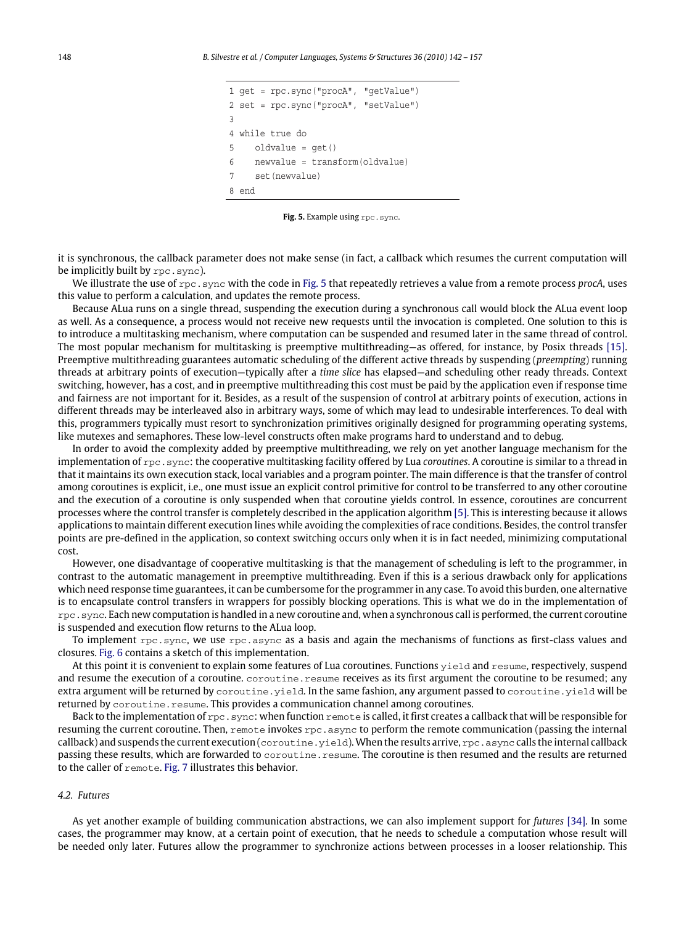```
1 get = rpc.sync("procA", "getValue")
2 set = rpc.sync("procA", "setValue")
3
4 while true do
5 oldvalue = get()
6 newvalue = transform(oldvalue)
7 set(newvalue)
8 end
```
<span id="page-6-0"></span>Fig. 5. Example using rpc. sync.

it is synchronous, the callback parameter does not make sense (in fact, a callback which resumes the current computation will be implicitly built by rpc. sync).

We illustrate the use of  $r_{DC}$ , sync with the code in [Fig. 5](#page-6-0) that repeatedly retrieves a value from a remote process *procA*, uses this value to perform a calculation, and updates the remote process.

Because ALua runs on a single thread, suspending the execution during a synchronous call would block the ALua event loop as well. As a consequence, a process would not receive new requests until the invocation is completed. One solution to this is to introduce a multitasking mechanism, where computation can be suspended and resumed later in the same thread of control. The most popular mechanism for multitasking is preemptive multithreading—as offered, for instance, by Posix threads [\[15\].](#page-15-14) Preemptive multithreading guarantees automatic scheduling of the different active threads by suspending (*preempting*) running threads at arbitrary points of execution—typically after a *time slice* has elapsed—and scheduling other ready threads. Context switching, however, has a cost, and in preemptive multithreading this cost must be paid by the application even if response time and fairness are not important for it. Besides, as a result of the suspension of control at arbitrary points of execution, actions in different threads may be interleaved also in arbitrary ways, some of which may lead to undesirable interferences. To deal with this, programmers typically must resort to synchronization primitives originally designed for programming operating systems, like mutexes and semaphores. These low-level constructs often make programs hard to understand and to debug.

In order to avoid the complexity added by preemptive multithreading, we rely on yet another language mechanism for the implementation of rpc.sync: the cooperative multitasking facility offered by Lua *coroutines*. A coroutine is similar to a thread in that it maintains its own execution stack, local variables and a program pointer. The main difference is that the transfer of control among coroutines is explicit, i.e., one must issue an explicit control primitive for control to be transferred to any other coroutine and the execution of a coroutine is only suspended when that coroutine yields control. In essence, coroutines are concurrent processes where the control transfer is completely described in the application algorithm [\[5\].](#page-14-3) This is interesting because it allows applications to maintain different execution lines while avoiding the complexities of race conditions. Besides, the control transfer points are pre-defined in the application, so context switching occurs only when it is in fact needed, minimizing computational cost.

However, one disadvantage of cooperative multitasking is that the management of scheduling is left to the programmer, in contrast to the automatic management in preemptive multithreading. Even if this is a serious drawback only for applications which need response time guarantees, it can be cumbersome for the programmer in any case. To avoid this burden, one alternative is to encapsulate control transfers in wrappers for possibly blocking operations. This is what we do in the implementation of rpc.sync. Each new computation is handled in a new coroutine and, when a synchronous call is performed, the current coroutine is suspended and execution flow returns to the ALua loop.

To implement rpc.sync, we use rpc.async as a basis and again the mechanisms of functions as first-class values and closures. [Fig. 6](#page-7-0) contains a sketch of this implementation.

At this point it is convenient to explain some features of Lua coroutines. Functions  $y$ ield and resume, respectively, suspend and resume the execution of a coroutine. coroutine. resume receives as its first argument the coroutine to be resumed; any extra argument will be returned by coroutine.yield. In the same fashion, any argument passed to coroutine.yield will be returned by coroutine.resume. This provides a communication channel among coroutines.

Back to the implementation of  $rpc$ . sync: when function  $r$ emote is called, it first creates a callback that will be responsible for resuming the current coroutine. Then,  $\text{remote}$  invokes  $\text{rpc}$  async to perform the remote communication (passing the internal callback) and suspends the current execution (coroutine.yield). When the results arrive, rpc. async calls the internal callback passing these results, which are forwarded to coroutine.resume. The coroutine is then resumed and the results are returned to the caller of remote. [Fig. 7](#page-7-1) illustrates this behavior.

# *4.2. Futures*

As yet another example of building communication abstractions, we can also implement support for *futures* [\[34\].](#page-15-15) In some cases, the programmer may know, at a certain point of execution, that he needs to schedule a computation whose result will be needed only later. Futures allow the programmer to synchronize actions between processes in a looser relationship. This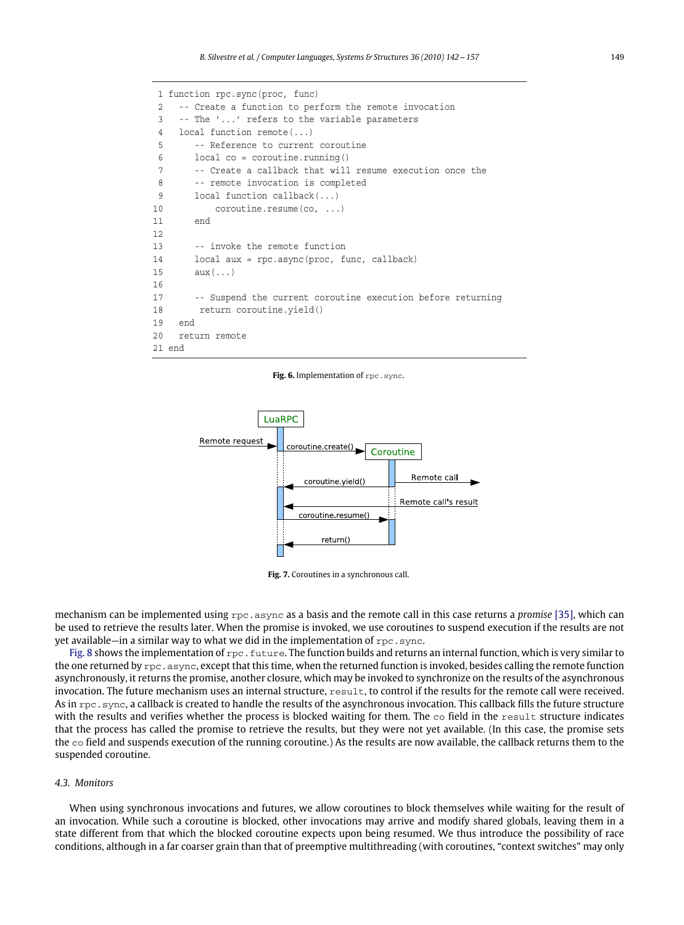```
1 function rpc.sync(proc, func)
2 -- Create a function to perform the remote invocation
3 -- The '...' refers to the variable parameters
4 local function remote(...)
5 -- Reference to current coroutine
6 local co = coroutine.running()
7 -- Create a callback that will resume execution once the
8 -- remote invocation is completed
9 local function callback(...)
10 coroutine.resume(co, ...)
11 end
12
13 -- invoke the remote function
14 local aux = rpc.async(proc, func, callback)
15 aux(...)
16
17 -- Suspend the current coroutine execution before returning
18 return coroutine.yield()
19 end
20 return remote
21 end
```
<span id="page-7-0"></span>Fig. 6. Implementation of rpc.sync.



<span id="page-7-1"></span>**Fig. 7.** Coroutines in a synchronous call.

mechanism can be implemented using  $rpc$ . async as a basis and the remote call in this case returns a *promise* [\[35\],](#page-15-16) which can be used to retrieve the results later. When the promise is invoked, we use coroutines to suspend execution if the results are not yet available—in a similar way to what we did in the implementation of  $rpc$ . sync.

[Fig. 8](#page-8-0) shows the implementation of  $rpc$ . future. The function builds and returns an internal function, which is very similar to the one returned by  $rpc$ . async, except that this time, when the returned function is invoked, besides calling the remote function asynchronously, it returns the promise, another closure, which may be invoked to synchronize on the results of the asynchronous invocation. The future mechanism uses an internal structure, result, to control if the results for the remote call were received. As in rpc. sync, a callback is created to handle the results of the asynchronous invocation. This callback fills the future structure with the results and verifies whether the process is blocked waiting for them. The co field in the result structure indicates that the process has called the promise to retrieve the results, but they were not yet available. (In this case, the promise sets the co field and suspends execution of the running coroutine.) As the results are now available, the callback returns them to the suspended coroutine.

## *4.3. Monitors*

When using synchronous invocations and futures, we allow coroutines to block themselves while waiting for the result of an invocation. While such a coroutine is blocked, other invocations may arrive and modify shared globals, leaving them in a state different from that which the blocked coroutine expects upon being resumed. We thus introduce the possibility of race conditions, although in a far coarser grain than that of preemptive multithreading (with coroutines, "context switches" may only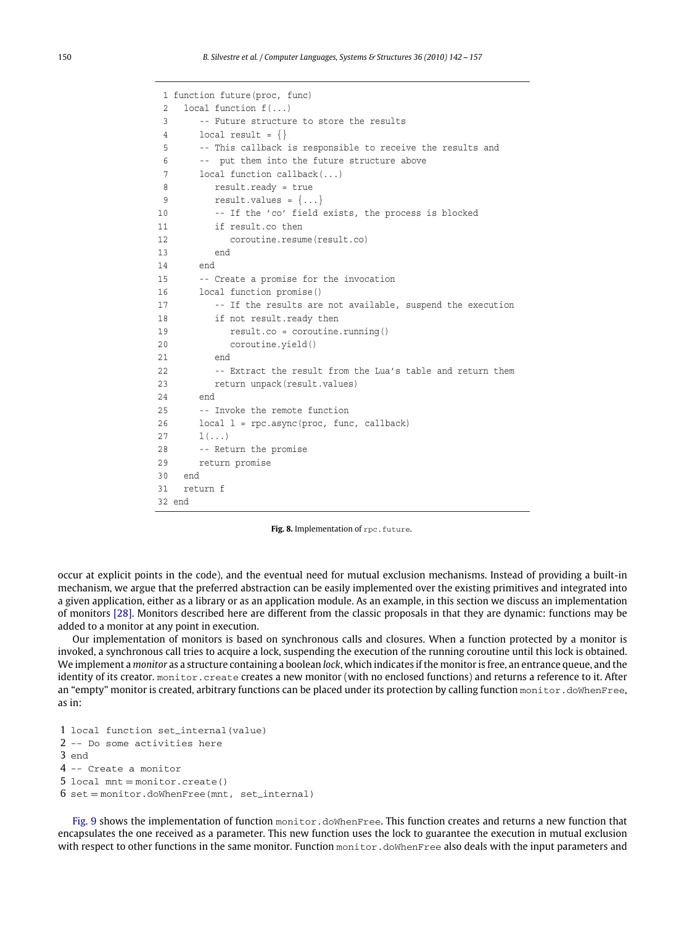```
1 function future(proc, func)
2 local function f(...)
3 -- Future structure to store the results
4 local result = \{\}5 -- This callback is responsible to receive the results and
6 -- put them into the future structure above
7 local function callback(...)
8 result.ready = true
9 result.values = \{ \ldots \}10 -- If the 'co' field exists, the process is blocked
11 if result co then
12 coroutine.resume(result.co)
13 end
14 end
15 -- Create a promise for the invocation
16 local function promise()
17 -- If the results are not available, suspend the execution
18 if not result.ready then
19 result.co = coroutine.running()
20 coroutine.yield()
21 end
22 -- Extract the result from the Lua's table and return them
23 return unpack(result.values)
24 end
25 -- Invoke the remote function
26 local l = rpc.async(proc, func, callback)
27 l(...)
28 -- Return the promise
29 return promise
30 end
31 return f
32 end
```
<span id="page-8-0"></span>Fig. 8. Implementation of rpc. future.

occur at explicit points in the code), and the eventual need for mutual exclusion mechanisms. Instead of providing a built-in mechanism, we argue that the preferred abstraction can be easily implemented over the existing primitives and integrated into a given application, either as a library or as an application module. As an example, in this section we discuss an implementation of monitors [\[28\].](#page-15-17) Monitors described here are different from the classic proposals in that they are dynamic: functions may be added to a monitor at any point in execution.

Our implementation of monitors is based on synchronous calls and closures. When a function protected by a monitor is invoked, a synchronous call tries to acquire a lock, suspending the execution of the running coroutine until this lock is obtained. We implement a *monitor* as a structure containing a boolean *lock*, which indicates if the monitor is free, an entrance queue, and the identity of its creator. monitor.create creates a new monitor (with no enclosed functions) and returns a reference to it. After an "empty" monitor is created, arbitrary functions can be placed under its protection by calling function monitor.doWhenFree, as in:

```
1 local function set_internal(value)
2 -- Do some activities here
3 end
4 -- Create a monitor
5 local mnt = monitor.create()
6 set = monitor.doWhenFree(mnt, set_internal)
```
[Fig. 9](#page-9-0) shows the implementation of function monitor.doWhenFree. This function creates and returns a new function that encapsulates the one received as a parameter. This new function uses the lock to guarantee the execution in mutual exclusion with respect to other functions in the same monitor. Function monitor. doWhenFree also deals with the input parameters and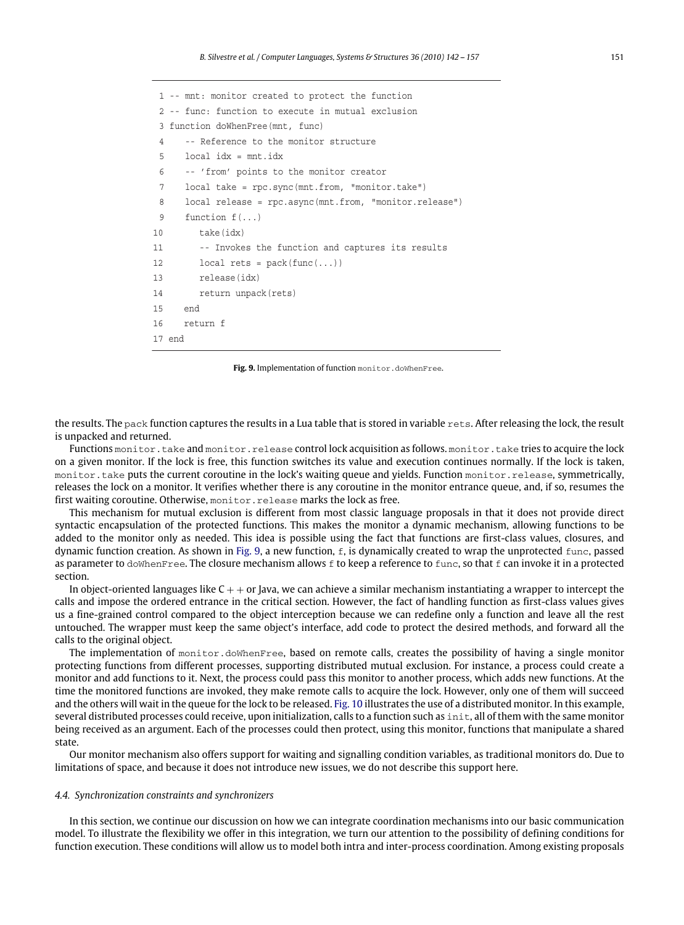```
1 -- mnt: monitor created to protect the function
 2 -- func: function to execute in mutual exclusion
 3 function doWhenFree(mnt, func)
 4 -- Reference to the monitor structure
 5 local idx = mnt.idx
 6 -- 'from' points to the monitor creator
 7 local take = rpc.sync(mnt.from, "monitor.take")
 8 local release = rpc.async(mnt.from, "monitor.release")
 9 function f(...)
10 take(idx)
11 -- Invokes the function and captures its results
12 \text{local} \text{rets} = \text{pack}(\text{func}(\dots))13 release(idx)
14 return unpack(rets)
15 end
16 return f
17 end
```
<span id="page-9-0"></span>Fig. 9. Implementation of function monitor.doWhenFree.

the results. The pack function captures the results in a Lua table that is stored in variable rets. After releasing the lock, the result is unpacked and returned.

Functions monitor.take and monitor.release control lock acquisition as follows.monitor.take tries to acquire the lock on a given monitor. If the lock is free, this function switches its value and execution continues normally. If the lock is taken, monitor.take puts the current coroutine in the lock's waiting queue and yields. Function monitor.release, symmetrically, releases the lock on a monitor. It verifies whether there is any coroutine in the monitor entrance queue, and, if so, resumes the first waiting coroutine. Otherwise, monitor.release marks the lock as free.

This mechanism for mutual exclusion is different from most classic language proposals in that it does not provide direct syntactic encapsulation of the protected functions. This makes the monitor a dynamic mechanism, allowing functions to be added to the monitor only as needed. This idea is possible using the fact that functions are first-class values, closures, and dynamic function creation. As shown in [Fig. 9,](#page-9-0) a new function,  $f$ , is dynamically created to wrap the unprotected  $f$ unc, passed as parameter to  $\phi$  doWhenFree. The closure mechanism allows  $\epsilon$  to keep a reference to  $f$ unc, so that  $f$  can invoke it in a protected section.

In object-oriented languages like  $C + +$  or Java, we can achieve a similar mechanism instantiating a wrapper to intercept the calls and impose the ordered entrance in the critical section. However, the fact of handling function as first-class values gives us a fine-grained control compared to the object interception because we can redefine only a function and leave all the rest untouched. The wrapper must keep the same object's interface, add code to protect the desired methods, and forward all the calls to the original object.

The implementation of monitor.doWhenFree, based on remote calls, creates the possibility of having a single monitor protecting functions from different processes, supporting distributed mutual exclusion. For instance, a process could create a monitor and add functions to it. Next, the process could pass this monitor to another process, which adds new functions. At the time the monitored functions are invoked, they make remote calls to acquire the lock. However, only one of them will succeed and the others will wait in the queue for the lock to be released. [Fig. 10](#page-10-0) illustrates the use of a distributed monitor. In this example, several distributed processes could receive, upon initialization, calls to a function such as init, all of them with the same monitor being received as an argument. Each of the processes could then protect, using this monitor, functions that manipulate a shared state.

Our monitor mechanism also offers support for waiting and signalling condition variables, as traditional monitors do. Due to limitations of space, and because it does not introduce new issues, we do not describe this support here.

#### *4.4. Synchronization constraints and synchronizers*

In this section, we continue our discussion on how we can integrate coordination mechanisms into our basic communication model. To illustrate the flexibility we offer in this integration, we turn our attention to the possibility of defining conditions for function execution. These conditions will allow us to model both intra and inter-process coordination. Among existing proposals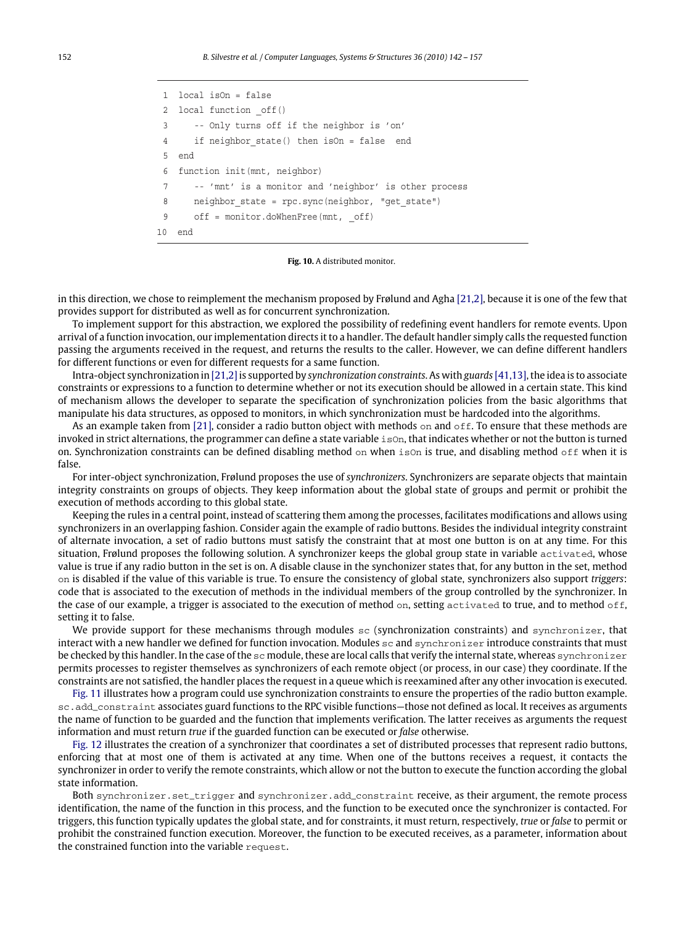1 local isOn = false 2 local function \_off() 3 -- Only turns off if the neighbor is 'on' 4 if neighbor\_state() then isOn = false end 5 end 6 function init(mnt, neighbor) 7 -- 'mnt' is a monitor and 'neighbor' is other process 8 neighbor\_state = rpc.sync(neighbor, "get\_state") 9 off = monitor.doWhenFree(mnt, \_off) 10 end

<span id="page-10-0"></span>**Fig. 10.** A distributed monitor.

in this direction, we chose to reimplement the mechanism proposed by Frølund and Agha  $[21,2]$ , because it is one of the few that provides support for distributed as well as for concurrent synchronization.

To implement support for this abstraction, we explored the possibility of redefining event handlers for remote events. Upon arrival of a function invocation, our implementation directs it to a handler. The default handler simply calls the requested function passing the arguments received in the request, and returns the results to the caller. However, we can define different handlers for different functions or even for different requests for a same function.

Intra-object synchronization in [21,2]is supported by *synchronization constraints*. As with *guards* [41,13], the idea is to associate constraints or expressions to a function to determine whether or not its execution should be allowed in a certain state. This kind of mechanism allows the developer to separate the specification of synchronization policies from the basic algorithms that manipulate his data structures, as opposed to monitors, in which synchronization must be hardcoded into the algorithms.

As an example taken from [\[21\],](#page-15-18) consider a radio button object with methods on and off. To ensure that these methods are invoked in strict alternations, the programmer can define a state variable ison, that indicates whether or not the button is turned on. Synchronization constraints can be defined disabling method on when  $\text{iso}$  is true, and disabling method off when it is false.

For inter-object synchronization, FrBlund proposes the use of *synchronizers*. Synchronizers are separate objects that maintain integrity constraints on groups of objects. They keep information about the global state of groups and permit or prohibit the execution of methods according to this global state.

Keeping the rules in a central point, instead of scattering them among the processes, facilitates modifications and allows using synchronizers in an overlapping fashion. Consider again the example of radio buttons. Besides the individual integrity constraint of alternate invocation, a set of radio buttons must satisfy the constraint that at most one button is on at any time. For this situation, Frølund proposes the following solution. A synchronizer keeps the global group state in variable activated, whose value is true if any radio button in the set is on. A disable clause in the synchonizer states that, for any button in the set, method on is disabled if the value of this variable is true. To ensure the consistency of global state, synchronizers also support *triggers*: code that is associated to the execution of methods in the individual members of the group controlled by the synchronizer. In the case of our example, a trigger is associated to the execution of method on, setting activated to true, and to method off, setting it to false.

We provide support for these mechanisms through modules sc (synchronization constraints) and synchronizer, that interact with a new handler we defined for function invocation. Modules sc and synchronizer introduce constraints that must be checked by this handler. In the case of the sc module, these are local calls that verify the internal state, whereas synchronizer permits processes to register themselves as synchronizers of each remote object (or process, in our case) they coordinate. If the constraints are not satisfied, the handler places the request in a queue which is reexamined after any other invocation is executed.

[Fig. 11](#page-11-0) illustrates how a program could use synchronization constraints to ensure the properties of the radio button example. sc.add\_constraint associates guard functions to the RPC visible functions—those not defined as local. It receives as arguments the name of function to be guarded and the function that implements verification. The latter receives as arguments the request information and must return *true* if the guarded function can be executed or *false* otherwise.

[Fig. 12](#page-11-1) illustrates the creation of a synchronizer that coordinates a set of distributed processes that represent radio buttons, enforcing that at most one of them is activated at any time. When one of the buttons receives a request, it contacts the synchronizer in order to verify the remote constraints, which allow or not the button to execute the function according the global state information.

Both synchronizer.set\_trigger and synchronizer.add\_constraint receive, as their argument, the remote process identification, the name of the function in this process, and the function to be executed once the synchronizer is contacted. For triggers, this function typically updates the global state, and for constraints, it must return, respectively, *true* or *false* to permit or prohibit the constrained function execution. Moreover, the function to be executed receives, as a parameter, information about the constrained function into the variable request.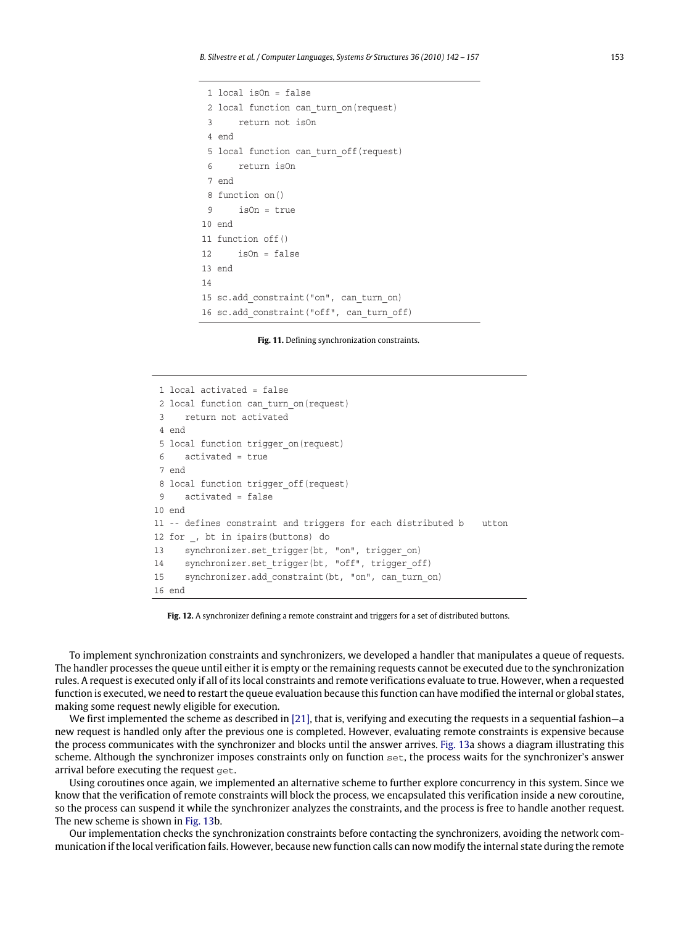```
1 local isOn = false
 2 local function can_turn_on(request)
 3 return not isOn
 4 end
 5 local function can_turn_off(request)
 6 return isOn
 7 end
 8 function on()
 9 isOn = true
10 end
11 function off()
12 isOn = false
13 end
14
15 sc.add_constraint("on", can_turn_on)
16 sc.add constraint("off", can turn off)
```
<span id="page-11-0"></span>**Fig. 11.** Defining synchronization constraints.

```
1 local activated = false
 2 local function can turn on(request)
 3 return not activated
 4 end
 5 local function trigger on(request)
 6 activated = true
 7 end
 8 local function trigger off(request)
 9 activated = false
10 end
11 -- defines constraint and triggers for each distributed b utton
12 for _, bt in ipairs(buttons) do
13 synchronizer.set trigger(bt, "on", trigger on)
14 synchronizer.set trigger(bt, "off", trigger off)
15 synchronizer.add_constraint(bt, "on", can_turn_on)
16 end
```
## <span id="page-11-1"></span>**Fig. 12.** A synchronizer defining a remote constraint and triggers for a set of distributed buttons.

To implement synchronization constraints and synchronizers, we developed a handler that manipulates a queue of requests. The handler processes the queue until either it is empty or the remaining requests cannot be executed due to the synchronization rules. A request is executed only if all of its local constraints and remote verifications evaluate to true. However, when a requested function is executed, we need to restart the queue evaluation because this function can have modified the internal or global states, making some request newly eligible for execution.

We first implemented the scheme as described in [\[21\],](#page-15-18) that is, verifying and executing the requests in a sequential fashion—a new request is handled only after the previous one is completed. However, evaluating remote constraints is expensive because the process communicates with the synchronizer and blocks until the answer arrives. [Fig. 13a](#page-12-0) shows a diagram illustrating this scheme. Although the synchronizer imposes constraints only on function set, the process waits for the synchronizer's answer arrival before executing the request get.

Using coroutines once again, we implemented an alternative scheme to further explore concurrency in this system. Since we know that the verification of remote constraints will block the process, we encapsulated this verification inside a new coroutine, so the process can suspend it while the synchronizer analyzes the constraints, and the process is free to handle another request. The new scheme is shown in [Fig. 13b](#page-12-0).

Our implementation checks the synchronization constraints before contacting the synchronizers, avoiding the network communication if the local verification fails. However, because new function calls can now modify the internal state during the remote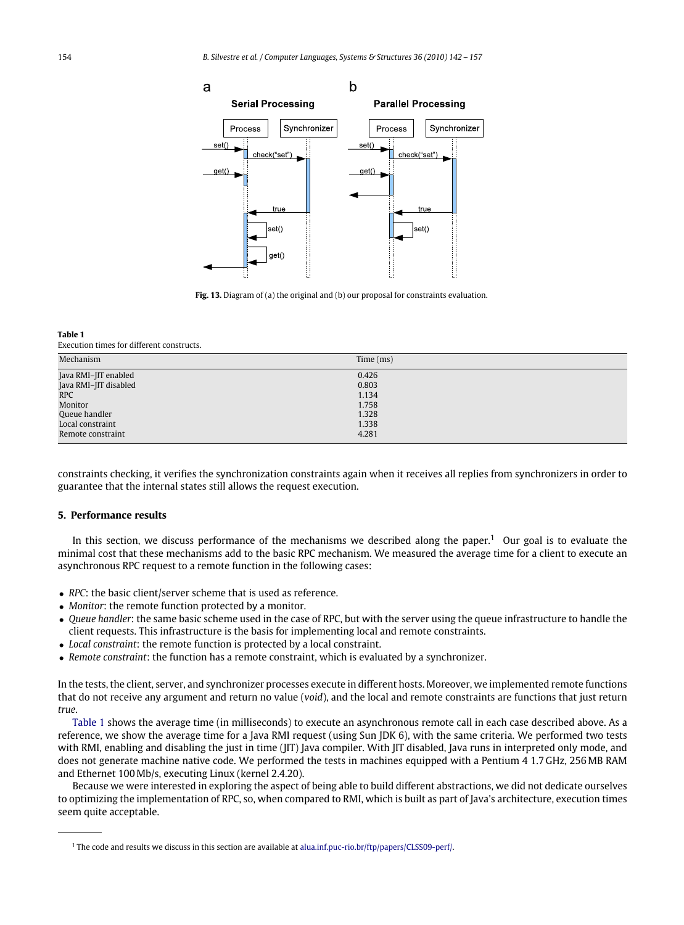

<span id="page-12-2"></span><span id="page-12-0"></span>**Fig. 13.** Diagram of (a) the original and (b) our proposal for constraints evaluation.

# **Table 1**

Execution times for different constructs.

| Mechanism             | Time(ms) |
|-----------------------|----------|
| Java RMI-JIT enabled  | 0.426    |
| Java RMI-JIT disabled | 0.803    |
| <b>RPC</b>            | 1.134    |
| Monitor               | 1.758    |
| Queue handler         | 1.328    |
| Local constraint      | 1.338    |
| Remote constraint     | 4.281    |

constraints checking, it verifies the synchronization constraints again when it receives all replies from synchronizers in order to guarantee that the internal states still allows the request execution.

# **5. Performance results**

In this section, we discuss performance of the mechanisms we described along the paper.<sup>[1](#page-12-1)</sup> Our goal is to evaluate the minimal cost that these mechanisms add to the basic RPC mechanism. We measured the average time for a client to execute an asynchronous RPC request to a remote function in the following cases:

- *RPC*: the basic client/server scheme that is used as reference.
- *Monitor*: the remote function protected by a monitor.
- *Queue handler*: the same basic scheme used in the case of RPC, but with the server using the queue infrastructure to handle the client requests. This infrastructure is the basis for implementing local and remote constraints.
- *Local constraint*: the remote function is protected by a local constraint.
- *Remote constraint*: the function has a remote constraint, which is evaluated by a synchronizer.

In the tests, the client, server, and synchronizer processes execute in different hosts. Moreover, we implemented remote functions that do not receive any argument and return no value (*void*), and the local and remote constraints are functions that just return *true*.

[Table 1](#page-12-2) shows the average time (in milliseconds) to execute an asynchronous remote call in each case described above. As a reference, we show the average time for a Java RMI request (using Sun JDK 6), with the same criteria. We performed two tests with RMI, enabling and disabling the just in time (JIT) Java compiler. With JIT disabled, Java runs in interpreted only mode, and does not generate machine native code. We performed the tests in machines equipped with a Pentium 4 1.7 GHz, 256 MB RAM and Ethernet 100 Mb/s, executing Linux (kernel 2.4.20).

Because we were interested in exploring the aspect of being able to build different abstractions, we did not dedicate ourselves to optimizing the implementation of RPC, so, when compared to RMI, which is built as part of Java's architecture, execution times seem quite acceptable.

<span id="page-12-1"></span><sup>1</sup> The code and results we discuss in this section are available at [alua.inf.puc-rio.br/ftp/papers/CLSS09-perf/.](http://alua.inf.puc-rio.br/ftp/papers/CLSS09-perf/)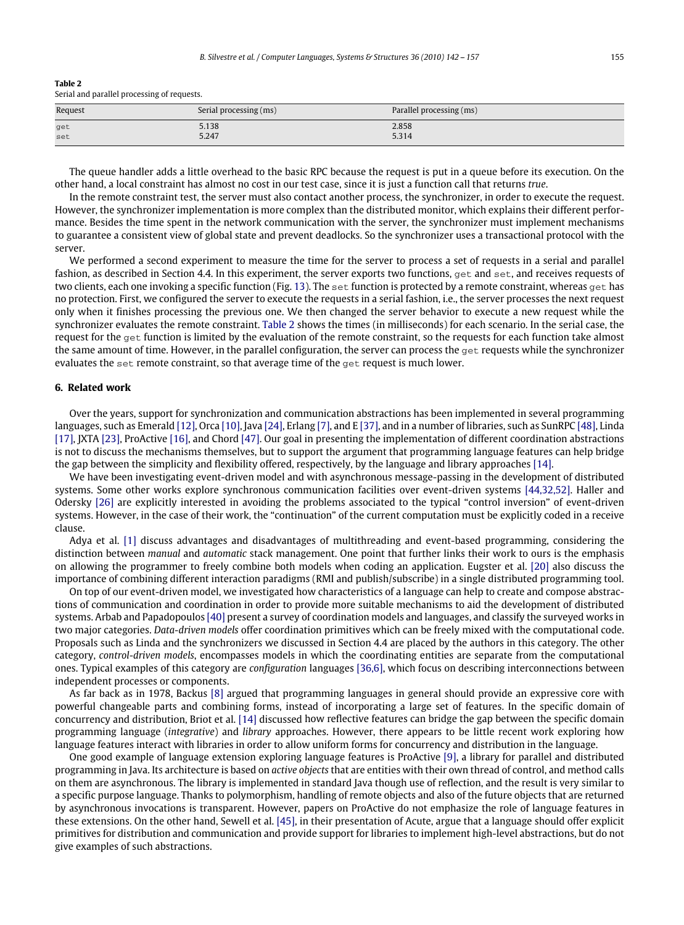| Serial and parallel processing of requests. | Table 2 |  |
|---------------------------------------------|---------|--|
|                                             |         |  |

<span id="page-13-0"></span>

| Request | Serial processing (ms) | Parallel processing (ms) |
|---------|------------------------|--------------------------|
| get     | 5.138                  | 2.858                    |
| set     | 5.247                  | 5.314                    |

The queue handler adds a little overhead to the basic RPC because the request is put in a queue before its execution. On the other hand, a local constraint has almost no cost in our test case, since it is just a function call that returns *true*.

In the remote constraint test, the server must also contact another process, the synchronizer, in order to execute the request. However, the synchronizer implementation is more complex than the distributed monitor, which explains their different performance. Besides the time spent in the network communication with the server, the synchronizer must implement mechanisms to guarantee a consistent view of global state and prevent deadlocks. So the synchronizer uses a transactional protocol with the server.

We performed a second experiment to measure the time for the server to process a set of requests in a serial and parallel fashion, as described in Section 4.4. In this experiment, the server exports two functions, get and set, and receives requests of two clients, each one invoking a specific function (Fig. [13\)](#page-12-0). The set function is protected by a remote constraint, whereas get has no protection. First, we configured the server to execute the requests in a serial fashion, i.e., the server processes the next request only when it finishes processing the previous one. We then changed the server behavior to execute a new request while the synchronizer evaluates the remote constraint. [Table 2](#page-13-0) shows the times (in milliseconds) for each scenario. In the serial case, the request for the  $qet$  function is limited by the evaluation of the remote constraint, so the requests for each function take almost the same amount of time. However, in the parallel configuration, the server can process the  $g$ et requests while the synchronizer evaluates the set remote constraint, so that average time of the get request is much lower.

## **6. Related work**

Over the years, support for synchronization and communication abstractions has been implemented in several programming languages, such as Emerald [\[12\],](#page-15-19) Orca [\[10\],](#page-15-20) Java [\[24\],](#page-15-21) Erlang [\[7\],](#page-15-22) and E [\[37\],](#page-15-23) and in a number of libraries, such as SunRPC [\[48\],](#page-15-24) Linda [\[17\],](#page-15-0) JXTA [\[23\],](#page-15-25) ProActive [\[16\],](#page-15-26) and Chord [\[47\].](#page-15-27) Our goal in presenting the implementation of different coordination abstractions is not to discuss the mechanisms themselves, but to support the argument that programming language features can help bridge the gap between the simplicity and flexibility offered, respectively, by the language and library approaches [\[14\].](#page-15-1)

We have been investigating event-driven model and with asynchronous message-passing in the development of distributed systems. Some other works explore synchronous communication facilities over event-driven systems [44,32,52]. Haller and Odersky [\[26\]](#page-15-28) are explicitly interested in avoiding the problems associated to the typical "control inversion" of event-driven systems. However, in the case of their work, the "continuation" of the current computation must be explicitly coded in a receive clause.

Adya et al. [\[1\]](#page-14-1) discuss advantages and disadvantages of multithreading and event-based programming, considering the distinction between *manual* and *automatic* stack management. One point that further links their work to ours is the emphasis on allowing the programmer to freely combine both models when coding an application. Eugster et al. [\[20\]](#page-15-29) also discuss the importance of combining different interaction paradigms (RMI and publish/subscribe) in a single distributed programming tool.

On top of our event-driven model, we investigated how characteristics of a language can help to create and compose abstractions of communication and coordination in order to provide more suitable mechanisms to aid the development of distributed systems. Arbab and Papadopoulos [\[40\]](#page-15-30) present a survey of coordination models and languages, and classify the surveyed works in two major categories. *Data-driven models* offer coordination primitives which can be freely mixed with the computational code. Proposals such as Linda and the synchronizers we discussed in Section 4.4 are placed by the authors in this category. The other category, *control-driven models*, encompasses models in which the coordinating entities are separate from the computational ones. Typical examples of this category are *configuration* languages [36,6], which focus on describing interconnections between independent processes or components.

As far back as in 1978, Backus [\[8\]](#page-15-31) argued that programming languages in general should provide an expressive core with powerful changeable parts and combining forms, instead of incorporating a large set of features. In the specific domain of concurrency and distribution, Briot et al. [\[14\]](#page-15-1) discussed how reflective features can bridge the gap between the specific domain programming language (*integrative*) and *library* approaches. However, there appears to be little recent work exploring how language features interact with libraries in order to allow uniform forms for concurrency and distribution in the language.

One good example of language extension exploring language features is ProActive [\[9\],](#page-15-32) a library for parallel and distributed programming in Java. Its architecture is based on *active objects* that are entities with their own thread of control, and method calls on them are asynchronous. The library is implemented in standard Java though use of reflection, and the result is very similar to a specific purpose language. Thanks to polymorphism, handling of remote objects and also of the future objects that are returned by asynchronous invocations is transparent. However, papers on ProActive do not emphasize the role of language features in these extensions. On the other hand, Sewell et al. [\[45\],](#page-15-33) in their presentation of Acute, argue that a language should offer explicit primitives for distribution and communication and provide support for libraries to implement high-level abstractions, but do not give examples of such abstractions.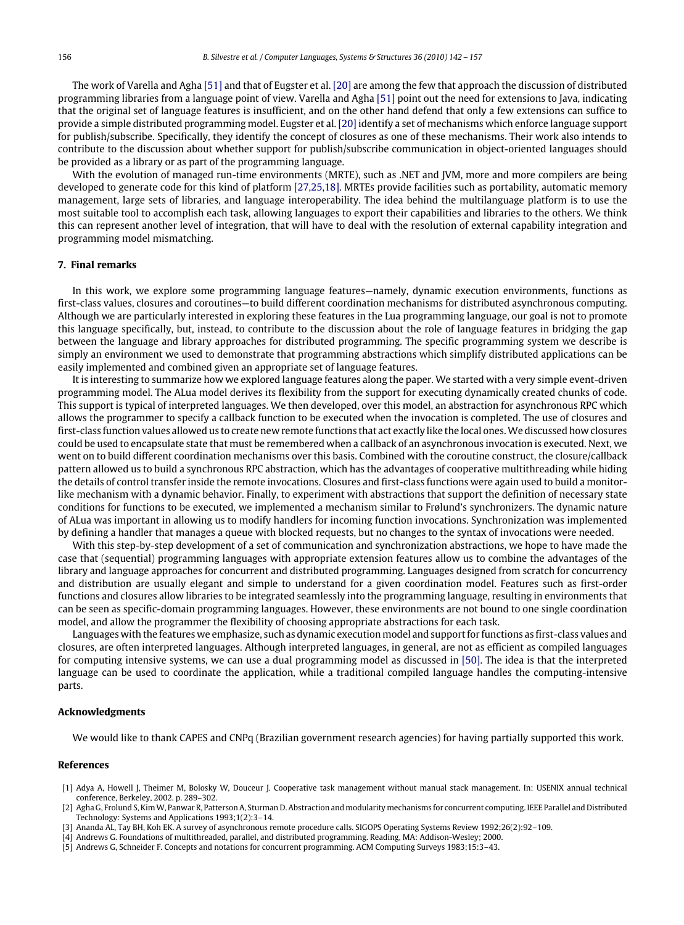The work of Varella and Agha [\[51\]](#page-15-34) and that of Eugster et al. [\[20\]](#page-15-29) are among the few that approach the discussion of distributed programming libraries from a language point of view. Varella and Agha [\[51\]](#page-15-34) point out the need for extensions to Java, indicating that the original set of language features is insufficient, and on the other hand defend that only a few extensions can suffice to provide a simple distributed programming model. Eugster et al. [\[20\]](#page-15-29) identify a set of mechanisms which enforce language support for publish/subscribe. Specifically, they identify the concept of closures as one of these mechanisms. Their work also intends to contribute to the discussion about whether support for publish/subscribe communication in object-oriented languages should be provided as a library or as part of the programming language.

With the evolution of managed run-time environments (MRTE), such as .NET and JVM, more and more compilers are being developed to generate code for this kind of platform [27,25,18]. MRTEs provide facilities such as portability, automatic memory management, large sets of libraries, and language interoperability. The idea behind the multilanguage platform is to use the most suitable tool to accomplish each task, allowing languages to export their capabilities and libraries to the others. We think this can represent another level of integration, that will have to deal with the resolution of external capability integration and programming model mismatching.

# **7. Final remarks**

In this work, we explore some programming language features—namely, dynamic execution environments, functions as first-class values, closures and coroutines—to build different coordination mechanisms for distributed asynchronous computing. Although we are particularly interested in exploring these features in the Lua programming language, our goal is not to promote this language specifically, but, instead, to contribute to the discussion about the role of language features in bridging the gap between the language and library approaches for distributed programming. The specific programming system we describe is simply an environment we used to demonstrate that programming abstractions which simplify distributed applications can be easily implemented and combined given an appropriate set of language features.

It is interesting to summarize how we explored language features along the paper. We started with a very simple event-driven programming model. The ALua model derives its flexibility from the support for executing dynamically created chunks of code. This support is typical of interpreted languages. We then developed, over this model, an abstraction for asynchronous RPC which allows the programmer to specify a callback function to be executed when the invocation is completed. The use of closures and first-class function values allowed us to create new remote functions that act exactly like the local ones.We discussed how closures could be used to encapsulate state that must be remembered when a callback of an asynchronous invocation is executed. Next, we went on to build different coordination mechanisms over this basis. Combined with the coroutine construct, the closure/callback pattern allowed us to build a synchronous RPC abstraction, which has the advantages of cooperative multithreading while hiding the details of control transfer inside the remote invocations. Closures and first-class functions were again used to build a monitorlike mechanism with a dynamic behavior. Finally, to experiment with abstractions that support the definition of necessary state conditions for functions to be executed, we implemented a mechanism similar to Frølund's synchronizers. The dynamic nature of ALua was important in allowing us to modify handlers for incoming function invocations. Synchronization was implemented by defining a handler that manages a queue with blocked requests, but no changes to the syntax of invocations were needed.

With this step-by-step development of a set of communication and synchronization abstractions, we hope to have made the case that (sequential) programming languages with appropriate extension features allow us to combine the advantages of the library and language approaches for concurrent and distributed programming. Languages designed from scratch for concurrency and distribution are usually elegant and simple to understand for a given coordination model. Features such as first-order functions and closures allow libraries to be integrated seamlessly into the programming language, resulting in environments that can be seen as specific-domain programming languages. However, these environments are not bound to one single coordination model, and allow the programmer the flexibility of choosing appropriate abstractions for each task.

Languages with the features we emphasize, such as dynamic execution model and support for functions as first-class values and closures, are often interpreted languages. Although interpreted languages, in general, are not as efficient as compiled languages for computing intensive systems, we can use a dual programming model as discussed in [\[50\].](#page-15-4) The idea is that the interpreted language can be used to coordinate the application, while a traditional compiled language handles the computing-intensive parts.

# **Acknowledgments**

We would like to thank CAPES and CNPq (Brazilian government research agencies) for having partially supported this work.

#### <span id="page-14-1"></span>**References**

- <span id="page-14-0"></span>[1] Adya A, Howell J, Theimer M, Bolosky W, Douceur J. Cooperative task management without manual stack management. In: USENIX annual technical conference, Berkeley, 2002. p. 289–302.
- <span id="page-14-3"></span><span id="page-14-2"></span>[2] Agha G, Frolund S, KimW, Panwar R, Patterson A, Sturman D. Abstraction and modularity mechanisms for concurrent computing. IEEE Parallel and Distributed Technology: Systems and Applications 1993;1(2):3–14.
- [3] Ananda AL, Tay BH, Koh EK. A survey of asynchronous remote procedure calls. SIGOPS Operating Systems Review 1992;26(2):92–109.
- [4] Andrews G. Foundations of multithreaded, parallel, and distributed programming. Reading, MA: Addison-Wesley; 2000.
- [5] Andrews G, Schneider F. Concepts and notations for concurrent programming. ACM Computing Surveys 1983;15:3–43.